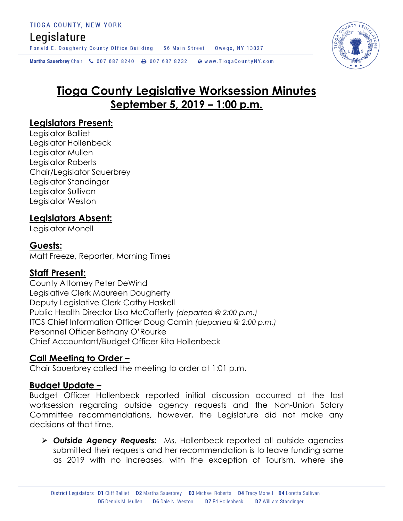# Legislature

Ronald E. Dougherty County Office Building 56 Main Street Owego, NY 13827

Martha Sauerbrey Chair & 607 687 8240 <a>B</a>607 687 8232 <a>B</a>Www.TiogaCountyNY.com

# **Tioga County Legislative Worksession Minutes September 5, 2019 – 1:00 p.m.**

### **Legislators Present:**

Legislator Balliet Legislator Hollenbeck Legislator Mullen Legislator Roberts Chair/Legislator Sauerbrey Legislator Standinger Legislator Sullivan Legislator Weston

# **Legislators Absent:**

Legislator Monell

#### **Guests:**

Matt Freeze, Reporter, Morning Times

# **Staff Present:**

County Attorney Peter DeWind Legislative Clerk Maureen Dougherty Deputy Legislative Clerk Cathy Haskell Public Health Director Lisa McCafferty *(departed @ 2:00 p.m.)* ITCS Chief Information Officer Doug Camin *(departed @ 2:00 p.m.)* Personnel Officer Bethany O'Rourke Chief Accountant/Budget Officer Rita Hollenbeck

#### **Call Meeting to Order –**

Chair Sauerbrey called the meeting to order at 1:01 p.m.

#### **Budget Update –**

Budget Officer Hollenbeck reported initial discussion occurred at the last worksession regarding outside agency requests and the Non-Union Salary Committee recommendations, however, the Legislature did not make any decisions at that time.

 *Outside Agency Requests:* Ms. Hollenbeck reported all outside agencies submitted their requests and her recommendation is to leave funding same as 2019 with no increases, with the exception of Tourism, where she

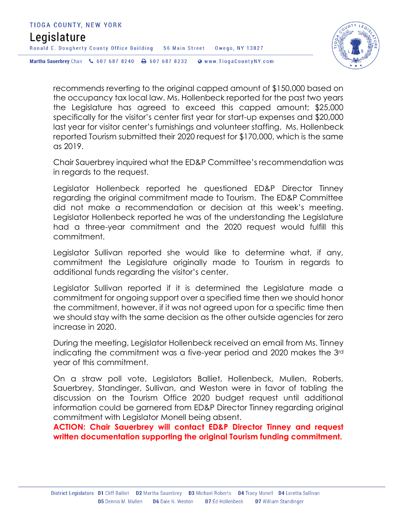

recommends reverting to the original capped amount of \$150,000 based on the occupancy tax local law. Ms. Hollenbeck reported for the past two years the Legislature has agreed to exceed this capped amount; \$25,000 specifically for the visitor's center first year for start-up expenses and \$20,000 last year for visitor center's furnishings and volunteer staffing. Ms. Hollenbeck reported Tourism submitted their 2020 request for \$170,000, which is the same as 2019.

Chair Sauerbrey inquired what the ED&P Committee's recommendation was in regards to the request.

Legislator Hollenbeck reported he questioned ED&P Director Tinney regarding the original commitment made to Tourism. The ED&P Committee did not make a recommendation or decision at this week's meeting. Legislator Hollenbeck reported he was of the understanding the Legislature had a three-year commitment and the 2020 request would fulfill this commitment.

Legislator Sullivan reported she would like to determine what, if any, commitment the Legislature originally made to Tourism in regards to additional funds regarding the visitor's center.

Legislator Sullivan reported if it is determined the Legislature made a commitment for ongoing support over a specified time then we should honor the commitment, however, if it was not agreed upon for a specific time then we should stay with the same decision as the other outside agencies for zero increase in 2020.

During the meeting, Legislator Hollenbeck received an email from Ms. Tinney indicating the commitment was a five-year period and 2020 makes the 3rd year of this commitment.

On a straw poll vote, Legislators Balliet, Hollenbeck, Mullen, Roberts, Sauerbrey, Standinger, Sullivan, and Weston were in favor of tabling the discussion on the Tourism Office 2020 budget request until additional information could be garnered from ED&P Director Tinney regarding original commitment with Legislator Monell being absent.

**ACTION: Chair Sauerbrey will contact ED&P Director Tinney and request written documentation supporting the original Tourism funding commitment.**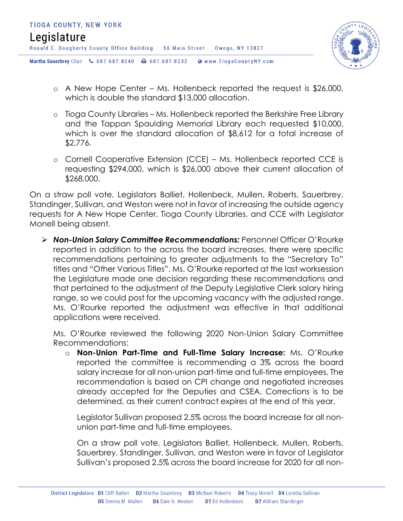

- o A New Hope Center Ms. Hollenbeck reported the request is \$26,000, which is double the standard \$13,000 allocation.
- o Tioga County Libraries Ms. Hollenbeck reported the Berkshire Free Library and the Tappan Spaulding Memorial Library each requested \$10,000, which is over the standard allocation of \$8,612 for a total increase of \$2,776.
- o Cornell Cooperative Extension (CCE) Ms. Hollenbeck reported CCE is requesting \$294,000, which is \$26,000 above their current allocation of \$268,000.

On a straw poll vote, Legislators Balliet, Hollenbeck, Mullen, Roberts, Sauerbrey, Standinger, Sullivan, and Weston were not in favor of increasing the outside agency requests for A New Hope Center, Tioga County Libraries, and CCE with Legislator Monell being absent.

 *Non-Union Salary Committee Recommendations:* Personnel Officer O'Rourke reported in addition to the across the board increases, there were specific recommendations pertaining to greater adjustments to the "Secretary To" titles and "Other Various Titles". Ms. O'Rourke reported at the last worksession the Legislature made one decision regarding these recommendations and that pertained to the adjustment of the Deputy Legislative Clerk salary hiring range, so we could post for the upcoming vacancy with the adjusted range. Ms. O'Rourke reported the adjustment was effective in that additional applications were received.

Ms. O'Rourke reviewed the following 2020 Non-Union Salary Committee Recommendations:

o **Non-Union Part-Time and Full-Time Salary Increase:** Ms. O'Rourke reported the committee is recommending a 3% across the board salary increase for all non-union part-time and full-time employees. The recommendation is based on CPI change and negotiated increases already accepted for the Deputies and CSEA. Corrections is to be determined, as their current contract expires at the end of this year.

Legislator Sullivan proposed 2.5% across the board increase for all nonunion part-time and full-time employees.

On a straw poll vote, Legislators Balliet, Hollenbeck, Mullen, Roberts, Sauerbrey, Standinger, Sullivan, and Weston were in favor of Legislator Sullivan's proposed 2.5% across the board increase for 2020 for all non-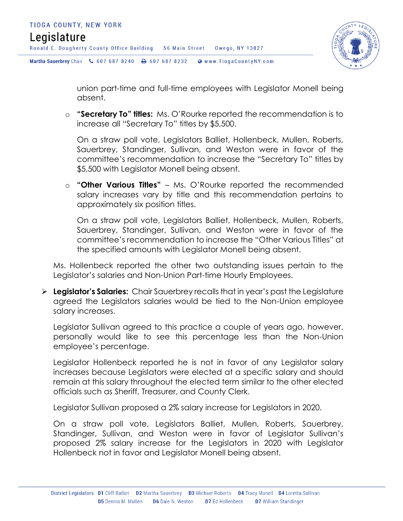

union part-time and full-time employees with Legislator Monell being absent.

o **"Secretary To" titles:** Ms. O'Rourke reported the recommendation is to increase all "Secretary To" titles by \$5,500.

On a straw poll vote, Legislators Balliet, Hollenbeck, Mullen, Roberts, Sauerbrey, Standinger, Sullivan, and Weston were in favor of the committee's recommendation to increase the "Secretary To" titles by \$5,500 with Legislator Monell being absent.

o **"Other Various Titles"** – Ms. O'Rourke reported the recommended salary increases vary by title and this recommendation pertains to approximately six position titles.

On a straw poll vote, Legislators Balliet, Hollenbeck, Mullen, Roberts, Sauerbrey, Standinger, Sullivan, and Weston were in favor of the committee's recommendation to increase the "Other Various Titles" at the specified amounts with Legislator Monell being absent.

Ms. Hollenbeck reported the other two outstanding issues pertain to the Legislator's salaries and Non-Union Part-time Hourly Employees.

 **Legislator's Salaries:** Chair Sauerbrey recalls that in year's past the Legislature agreed the Legislators salaries would be tied to the Non-Union employee salary increases.

Legislator Sullivan agreed to this practice a couple of years ago, however, personally would like to see this percentage less than the Non-Union employee's percentage.

Legislator Hollenbeck reported he is not in favor of any Legislator salary increases because Legislators were elected at a specific salary and should remain at this salary throughout the elected term similar to the other elected officials such as Sheriff, Treasurer, and County Clerk.

Legislator Sullivan proposed a 2% salary increase for Legislators in 2020.

On a straw poll vote, Legislators Balliet, Mullen, Roberts, Sauerbrey, Standinger, Sullivan, and Weston were in favor of Legislator Sullivan's proposed 2% salary increase for the Legislators in 2020 with Legislator Hollenbeck not in favor and Legislator Monell being absent.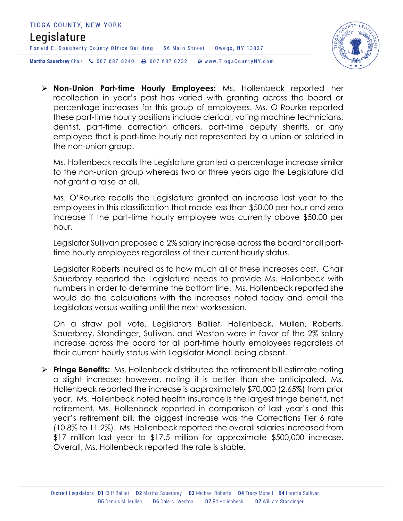

 **Non-Union Part-time Hourly Employees:** Ms. Hollenbeck reported her recollection in year's past has varied with granting across the board or percentage increases for this group of employees. Ms. O'Rourke reported these part-time hourly positions include clerical, voting machine technicians, dentist, part-time correction officers, part-time deputy sheriffs, or any employee that is part-time hourly not represented by a union or salaried in the non-union group.

Ms. Hollenbeck recalls the Legislature granted a percentage increase similar to the non-union group whereas two or three years ago the Legislature did not grant a raise at all.

Ms. O'Rourke recalls the Legislature granted an increase last year to the employees in this classification that made less than \$50.00 per hour and zero increase if the part-time hourly employee was currently above \$50.00 per hour.

Legislator Sullivan proposed a 2% salary increase across the board for all parttime hourly employees regardless of their current hourly status.

Legislator Roberts inquired as to how much all of these increases cost. Chair Sauerbrey reported the Legislature needs to provide Ms. Hollenbeck with numbers in order to determine the bottom line. Ms. Hollenbeck reported she would do the calculations with the increases noted today and email the Legislators versus waiting until the next worksession.

On a straw poll vote, Legislators Balliet, Hollenbeck, Mullen, Roberts, Sauerbrey, Standinger, Sullivan, and Weston were in favor of the 2% salary increase across the board for all part-time hourly employees regardless of their current hourly status with Legislator Monell being absent.

 **Fringe Benefits:** Ms. Hollenbeck distributed the retirement bill estimate noting a slight increase; however, noting it is better than she anticipated. Ms. Hollenbeck reported the increase is approximately \$70,000 (2.65%) from prior year. Ms. Hollenbeck noted health insurance is the largest fringe benefit, not retirement. Ms. Hollenbeck reported in comparison of last year's and this year's retirement bill, the biggest increase was the Corrections Tier 6 rate (10.8% to 11.2%). Ms. Hollenbeck reported the overall salaries increased from \$17 million last year to \$17.5 million for approximate \$500,000 increase. Overall, Ms. Hollenbeck reported the rate is stable.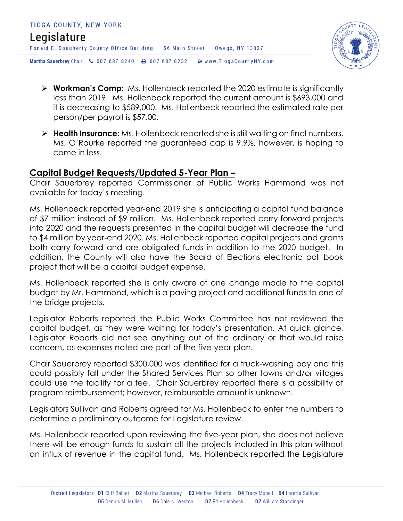

- **Workman's Comp:** Ms. Hollenbeck reported the 2020 estimate is significantly less than 2019. Ms. Hollenbeck reported the current amount is \$693,000 and it is decreasing to \$589,000. Ms. Hollenbeck reported the estimated rate per person/per payroll is \$57.00.
- **Health Insurance:** Ms. Hollenbeck reported she is still waiting on final numbers. Ms. O'Rourke reported the guaranteed cap is 9.9%, however, is hoping to come in less.

#### **Capital Budget Requests/Updated 5-Year Plan –**

Chair Sauerbrey reported Commissioner of Public Works Hammond was not available for today's meeting.

Ms. Hollenbeck reported year-end 2019 she is anticipating a capital fund balance of \$7 million instead of \$9 million. Ms. Hollenbeck reported carry forward projects into 2020 and the requests presented in the capital budget will decrease the fund to \$4 million by year-end 2020. Ms. Hollenbeck reported capital projects and grants both carry forward and are obligated funds in addition to the 2020 budget. In addition, the County will also have the Board of Elections electronic poll book project that will be a capital budget expense.

Ms. Hollenbeck reported she is only aware of one change made to the capital budget by Mr. Hammond, which is a paving project and additional funds to one of the bridge projects.

Legislator Roberts reported the Public Works Committee has not reviewed the capital budget, as they were waiting for today's presentation. At quick glance, Legislator Roberts did not see anything out of the ordinary or that would raise concern, as expenses noted are part of the five-year plan.

Chair Sauerbrey reported \$300,000 was identified for a truck-washing bay and this could possibly fall under the Shared Services Plan so other towns and/or villages could use the facility for a fee. Chair Sauerbrey reported there is a possibility of program reimbursement; however, reimbursable amount is unknown.

Legislators Sullivan and Roberts agreed for Ms. Hollenbeck to enter the numbers to determine a preliminary outcome for Legislature review.

Ms. Hollenbeck reported upon reviewing the five-year plan, she does not believe there will be enough funds to sustain all the projects included in this plan without an influx of revenue in the capital fund. Ms. Hollenbeck reported the Legislature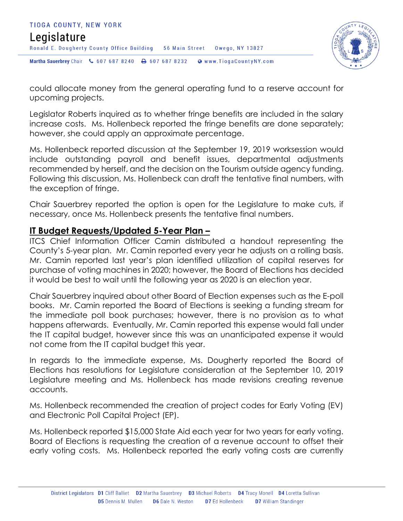



could allocate money from the general operating fund to a reserve account for upcoming projects.

Legislator Roberts inquired as to whether fringe benefits are included in the salary increase costs. Ms. Hollenbeck reported the fringe benefits are done separately; however, she could apply an approximate percentage.

Ms. Hollenbeck reported discussion at the September 19, 2019 worksession would include outstanding payroll and benefit issues, departmental adjustments recommended by herself, and the decision on the Tourism outside agency funding. Following this discussion, Ms. Hollenbeck can draft the tentative final numbers, with the exception of fringe.

Chair Sauerbrey reported the option is open for the Legislature to make cuts, if necessary, once Ms. Hollenbeck presents the tentative final numbers.

#### **IT Budget Requests/Updated 5-Year Plan –**

ITCS Chief Information Officer Camin distributed a handout representing the County's 5-year plan. Mr. Camin reported every year he adjusts on a rolling basis. Mr. Camin reported last year's plan identified utilization of capital reserves for purchase of voting machines in 2020; however, the Board of Elections has decided it would be best to wait until the following year as 2020 is an election year.

Chair Sauerbrey inquired about other Board of Election expenses such as the E-poll books. Mr. Camin reported the Board of Elections is seeking a funding stream for the immediate poll book purchases; however, there is no provision as to what happens afterwards. Eventually, Mr. Camin reported this expense would fall under the IT capital budget, however since this was an unanticipated expense it would not come from the IT capital budget this year.

In regards to the immediate expense, Ms. Dougherty reported the Board of Elections has resolutions for Legislature consideration at the September 10, 2019 Legislature meeting and Ms. Hollenbeck has made revisions creating revenue accounts.

Ms. Hollenbeck recommended the creation of project codes for Early Voting (EV) and Electronic Poll Capital Project (EP).

Ms. Hollenbeck reported \$15,000 State Aid each year for two years for early voting. Board of Elections is requesting the creation of a revenue account to offset their early voting costs. Ms. Hollenbeck reported the early voting costs are currently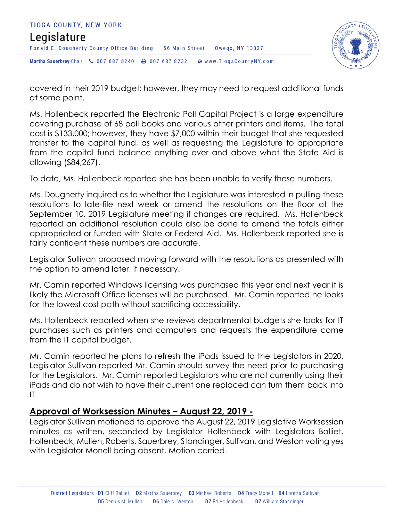



covered in their 2019 budget; however, they may need to request additional funds at some point.

Ms. Hollenbeck reported the Electronic Poll Capital Project is a large expenditure covering purchase of 68 poll books and various other printers and items. The total cost is \$133,000; however, they have \$7,000 within their budget that she requested transfer to the capital fund, as well as requesting the Legislature to appropriate from the capital fund balance anything over and above what the State Aid is allowing (\$84,267).

To date, Ms. Hollenbeck reported she has been unable to verify these numbers.

Ms. Dougherty inquired as to whether the Legislature was interested in pulling these resolutions to late-file next week or amend the resolutions on the floor at the September 10, 2019 Legislature meeting if changes are required. Ms. Hollenbeck reported an additional resolution could also be done to amend the totals either appropriated or funded with State or Federal Aid. Ms. Hollenbeck reported she is fairly confident these numbers are accurate.

Legislator Sullivan proposed moving forward with the resolutions as presented with the option to amend later, if necessary.

Mr. Camin reported Windows licensing was purchased this year and next year it is likely the Microsoft Office licenses will be purchased. Mr. Camin reported he looks for the lowest cost path without sacrificing accessibility.

Ms. Hollenbeck reported when she reviews departmental budgets she looks for IT purchases such as printers and computers and requests the expenditure come from the IT capital budget.

Mr. Camin reported he plans to refresh the iPads issued to the Legislators in 2020. Legislator Sullivan reported Mr. Camin should survey the need prior to purchasing for the Legislators. Mr. Camin reported Legislators who are not currently using their iPads and do not wish to have their current one replaced can turn them back into IT.

#### **Approval of Worksession Minutes – August 22, 2019 -**

Legislator Sullivan motioned to approve the August 22, 2019 Legislative Worksession minutes as written, seconded by Legislator Hollenbeck with Legislators Balliet, Hollenbeck, Mullen, Roberts, Sauerbrey, Standinger, Sullivan, and Weston voting yes with Legislator Monell being absent. Motion carried.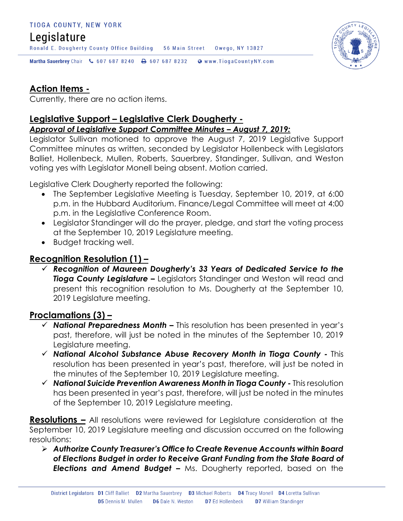#### TIOGA COUNTY, NEW YORK

# Legislature

Ronald E. Dougherty County Office Building 56 Main Street Owego, NY 13827



Martha Sauerbrey Chair & 607 687 8240 <a>B</a>607 687 8232 <a>B</a>Www.TiogaCountyNY.com

# **Action Items -**

Currently, there are no action items.

#### **Legislative Support – Legislative Clerk Dougherty -**

*Approval of Legislative Support Committee Minutes – August 7, 2019:* 

Legislator Sullivan motioned to approve the August 7, 2019 Legislative Support Committee minutes as written, seconded by Legislator Hollenbeck with Legislators Balliet, Hollenbeck, Mullen, Roberts, Sauerbrey, Standinger, Sullivan, and Weston voting yes with Legislator Monell being absent. Motion carried.

Legislative Clerk Dougherty reported the following:

- The September Legislative Meeting is Tuesday, September 10, 2019, at 6:00 p.m. in the Hubbard Auditorium. Finance/Legal Committee will meet at 4:00 p.m. in the Legislative Conference Room.
- Legislator Standinger will do the prayer, pledge, and start the voting process at the September 10, 2019 Legislature meeting.
- Budget tracking well.

# **Recognition Resolution (1) –**

 *Recognition of Maureen Dougherty's 33 Years of Dedicated Service to the Tioga County Legislature –* Legislators Standinger and Weston will read and present this recognition resolution to Ms. Dougherty at the September 10, 2019 Legislature meeting.

# **Proclamations (3) –**

- *National Preparedness Month –* This resolution has been presented in year's past, therefore, will just be noted in the minutes of the September 10, 2019 Legislature meeting.
- *National Alcohol Substance Abuse Recovery Month in Tioga County -* This resolution has been presented in year's past, therefore, will just be noted in the minutes of the September 10, 2019 Legislature meeting.
- *National Suicide Prevention Awareness Month in Tioga County -* This resolution has been presented in year's past, therefore, will just be noted in the minutes of the September 10, 2019 Legislature meeting.

**Resolutions –** All resolutions were reviewed for Legislature consideration at the September 10, 2019 Legislature meeting and discussion occurred on the following resolutions:

 *Authorize County Treasurer's Office to Create Revenue Accounts within Board of Elections Budget in order to Receive Grant Funding from the State Board of Elections and Amend Budget –* Ms. Dougherty reported, based on the